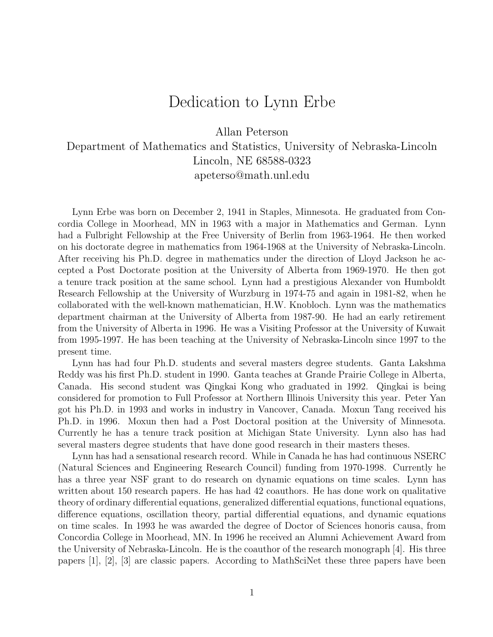## Dedication to Lynn Erbe

Allan Peterson

## Department of Mathematics and Statistics, University of Nebraska-Lincoln Lincoln, NE 68588-0323 apeterso@math.unl.edu

Lynn Erbe was born on December 2, 1941 in Staples, Minnesota. He graduated from Concordia College in Moorhead, MN in 1963 with a major in Mathematics and German. Lynn had a Fulbright Fellowship at the Free University of Berlin from 1963-1964. He then worked on his doctorate degree in mathematics from 1964-1968 at the University of Nebraska-Lincoln. After receiving his Ph.D. degree in mathematics under the direction of Lloyd Jackson he accepted a Post Doctorate position at the University of Alberta from 1969-1970. He then got a tenure track position at the same school. Lynn had a prestigious Alexander von Humboldt Research Fellowship at the University of Wurzburg in 1974-75 and again in 1981-82, when he collaborated with the well-known mathematician, H.W. Knobloch. Lynn was the mathematics department chairman at the University of Alberta from 1987-90. He had an early retirement from the University of Alberta in 1996. He was a Visiting Professor at the University of Kuwait from 1995-1997. He has been teaching at the University of Nebraska-Lincoln since 1997 to the present time.

Lynn has had four Ph.D. students and several masters degree students. Ganta Lakshma Reddy was his first Ph.D. student in 1990. Ganta teaches at Grande Prairie College in Alberta, Canada. His second student was Qingkai Kong who graduated in 1992. Qingkai is being considered for promotion to Full Professor at Northern Illinois University this year. Peter Yan got his Ph.D. in 1993 and works in industry in Vancover, Canada. Moxun Tang received his Ph.D. in 1996. Moxun then had a Post Doctoral position at the University of Minnesota. Currently he has a tenure track position at Michigan State University. Lynn also has had several masters degree students that have done good research in their masters theses.

Lynn has had a sensational research record. While in Canada he has had continuous NSERC (Natural Sciences and Engineering Research Council) funding from 1970-1998. Currently he has a three year NSF grant to do research on dynamic equations on time scales. Lynn has written about 150 research papers. He has had 42 coauthors. He has done work on qualitative theory of ordinary differential equations, generalized differential equations, functional equations, difference equations, oscillation theory, partial differential equations, and dynamic equations on time scales. In 1993 he was awarded the degree of Doctor of Sciences honoris causa, from Concordia College in Moorhead, MN. In 1996 he received an Alumni Achievement Award from the University of Nebraska-Lincoln. He is the coauthor of the research monograph [4]. His three papers [1], [2], [3] are classic papers. According to MathSciNet these three papers have been